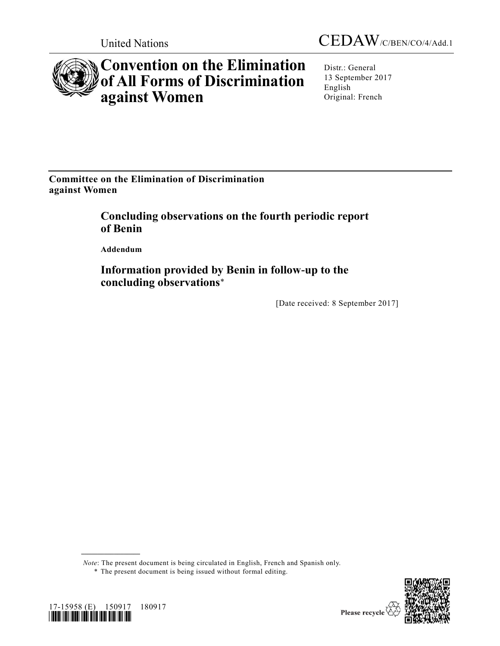



# **Convention on the Elimination of All Forms of Discrimination against Women**

Distr.: General 13 September 2017 English Original: French

**Committee on the Elimination of Discrimination against Women**

> **Concluding observations on the fourth periodic report of Benin**

**Addendum**

17-15958 (E) 150917 180917

**\_\_\_\_\_\_\_\_\_\_\_\_\_\_\_\_\_\_**

*\*1715958\**

**Information provided by Benin in follow-up to the concluding observations**\*

[Date received: 8 September 2017]

*Note*: The present document is being circulated in English, French and Spanish only.



<sup>\*</sup> The present document is being issued without formal editing.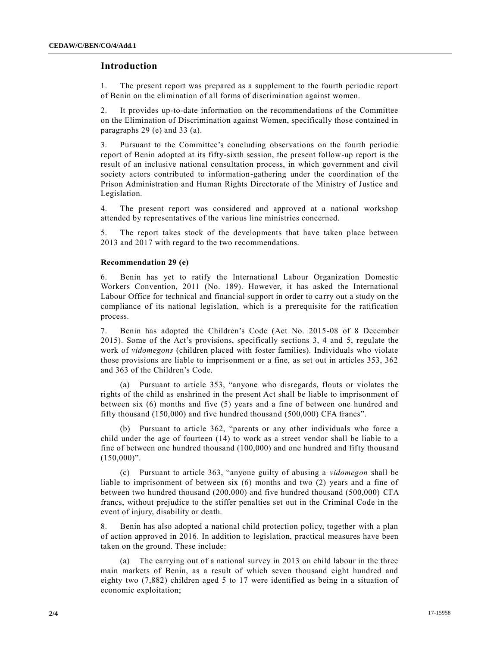### **Introduction**

1. The present report was prepared as a supplement to the fourth periodic report of Benin on the elimination of all forms of discrimination against women.

2. It provides up-to-date information on the recommendations of the Committee on the Elimination of Discrimination against Women, specifically those contained in paragraphs 29 (e) and 33 (a).

3. Pursuant to the Committee's concluding observations on the fourth periodic report of Benin adopted at its fifty-sixth session, the present follow-up report is the result of an inclusive national consultation process, in which government and civil society actors contributed to information-gathering under the coordination of the Prison Administration and Human Rights Directorate of the Ministry of Justice and Legislation.

4. The present report was considered and approved at a national workshop attended by representatives of the various line ministries concerned.

5. The report takes stock of the developments that have taken place between 2013 and 2017 with regard to the two recommendations.

#### **Recommendation 29 (e)**

6. Benin has yet to ratify the International Labour Organization Domestic Workers Convention, 2011 (No. 189). However, it has asked the International Labour Office for technical and financial support in order to carry out a study on the compliance of its national legislation, which is a prerequisite for the ratification process.

7. Benin has adopted the Children's Code (Act No. 2015-08 of 8 December 2015). Some of the Act's provisions, specifically sections 3, 4 and 5, regulate the work of *vidomegons* (children placed with foster families). Individuals who violate those provisions are liable to imprisonment or a fine, as set out in articles 353, 362 and 363 of the Children's Code.

(a) Pursuant to article 353, "anyone who disregards, flouts or violates the rights of the child as enshrined in the present Act shall be liable to imprisonment of between six (6) months and five (5) years and a fine of between one hundred and fifty thousand (150,000) and five hundred thousand (500,000) CFA francs".

(b) Pursuant to article 362, "parents or any other individuals who force a child under the age of fourteen (14) to work as a street vendor shall be liable to a fine of between one hundred thousand (100,000) and one hundred and fifty thousand  $(150,000)$ ".

(c) Pursuant to article 363, "anyone guilty of abusing a *vidomegon* shall be liable to imprisonment of between six (6) months and two (2) years and a fine of between two hundred thousand (200,000) and five hundred thousand (500,000) CFA francs, without prejudice to the stiffer penalties set out in the Criminal Code in the event of injury, disability or death.

8. Benin has also adopted a national child protection policy, together with a plan of action approved in 2016. In addition to legislation, practical measures have been taken on the ground. These include:

(a) The carrying out of a national survey in 2013 on child labour in the three main markets of Benin, as a result of which seven thousand eight hundred and eighty two (7,882) children aged 5 to 17 were identified as being in a situation of economic exploitation;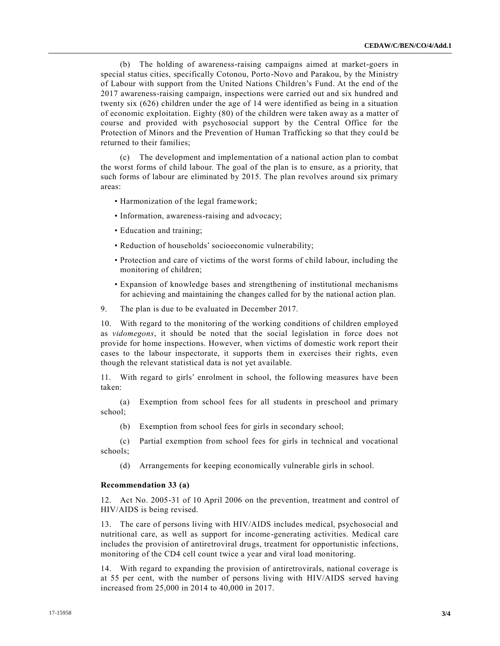(b) The holding of awareness-raising campaigns aimed at market-goers in special status cities, specifically Cotonou, Porto-Novo and Parakou, by the Ministry of Labour with support from the United Nations Children's Fund. At the end of the 2017 awareness-raising campaign, inspections were carried out and six hundred and twenty six (626) children under the age of 14 were identified as being in a situation of economic exploitation. Eighty (80) of the children were taken away as a matter of course and provided with psychosocial support by the Central Office for the Protection of Minors and the Prevention of Human Trafficking so that they coul d be returned to their families;

(c) The development and implementation of a national action plan to combat the worst forms of child labour. The goal of the plan is to ensure, as a priority, that such forms of labour are eliminated by 2015. The plan revolves around six primary areas:

- Harmonization of the legal framework;
- Information, awareness-raising and advocacy;
- Education and training;
- Reduction of households' socioeconomic vulnerability;
- Protection and care of victims of the worst forms of child labour, including the monitoring of children;
- Expansion of knowledge bases and strengthening of institutional mechanisms for achieving and maintaining the changes called for by the national action plan.
- 9. The plan is due to be evaluated in December 2017.

10. With regard to the monitoring of the working conditions of children employed as *vidomegons*, it should be noted that the social legislation in force does not provide for home inspections. However, when victims of domestic work report their cases to the labour inspectorate, it supports them in exercises their rights, even though the relevant statistical data is not yet available.

11. With regard to girls' enrolment in school, the following measures have been taken:

(a) Exemption from school fees for all students in preschool and primary school;

(b) Exemption from school fees for girls in secondary school;

(c) Partial exemption from school fees for girls in technical and vocational schools;

(d) Arrangements for keeping economically vulnerable girls in school.

#### **Recommendation 33 (a)**

12. Act No. 2005-31 of 10 April 2006 on the prevention, treatment and control of HIV/AIDS is being revised.

13. The care of persons living with HIV/AIDS includes medical, psychosocial and nutritional care, as well as support for income-generating activities. Medical care includes the provision of antiretroviral drugs, treatment for opportunistic infections, monitoring of the CD4 cell count twice a year and viral load monitoring.

14. With regard to expanding the provision of antiretrovirals, national coverage is at 55 per cent, with the number of persons living with HIV/AIDS served having increased from 25,000 in 2014 to 40,000 in 2017.